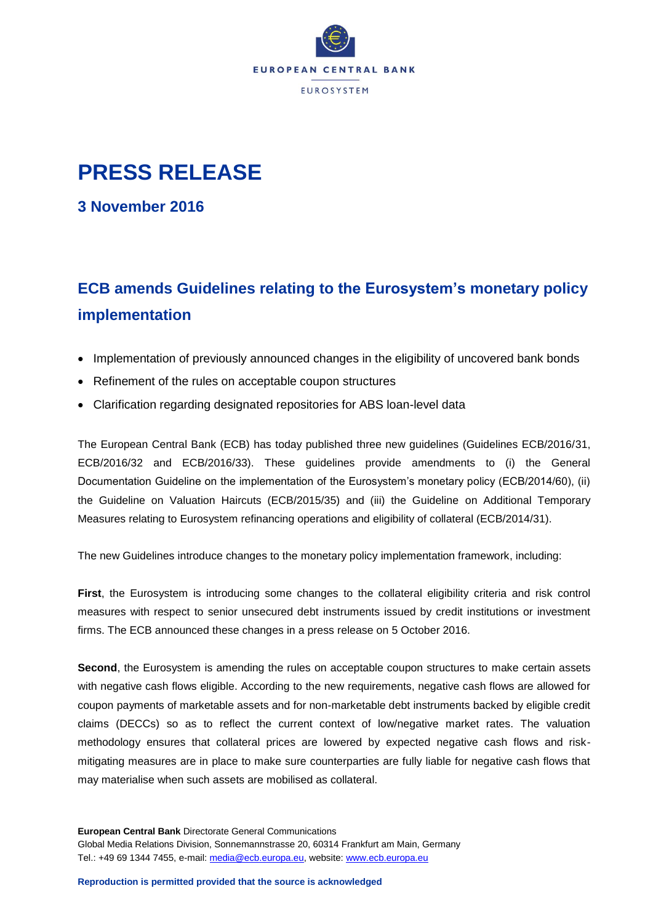

## **PRESS RELEASE**

**3 November 2016**

## **ECB amends Guidelines relating to the Eurosystem's monetary policy implementation**

- Implementation of previously announced changes in the eligibility of uncovered bank bonds
- Refinement of the rules on acceptable coupon structures
- Clarification regarding designated repositories for ABS loan-level data

The European Central Bank (ECB) has today published three new guidelines (Guidelines ECB/2016/31, ECB/2016/32 and ECB/2016/33). These guidelines provide amendments to (i) the General Documentation Guideline on the implementation of the Eurosystem's monetary policy (ECB/2014/60), (ii) the Guideline on Valuation Haircuts (ECB/2015/35) and (iii) the Guideline on Additional Temporary Measures relating to Eurosystem refinancing operations and eligibility of collateral (ECB/2014/31).

The new Guidelines introduce changes to the monetary policy implementation framework, including:

**First**, the Eurosystem is introducing some changes to the collateral eligibility criteria and risk control measures with respect to senior unsecured debt instruments issued by credit institutions or investment firms. The ECB announced these changes in a press release on 5 October 2016.

**Second**, the Eurosystem is amending the rules on acceptable coupon structures to make certain assets with negative cash flows eligible. According to the new requirements, negative cash flows are allowed for coupon payments of marketable assets and for non-marketable debt instruments backed by eligible credit claims (DECCs) so as to reflect the current context of low/negative market rates. The valuation methodology ensures that collateral prices are lowered by expected negative cash flows and riskmitigating measures are in place to make sure counterparties are fully liable for negative cash flows that may materialise when such assets are mobilised as collateral.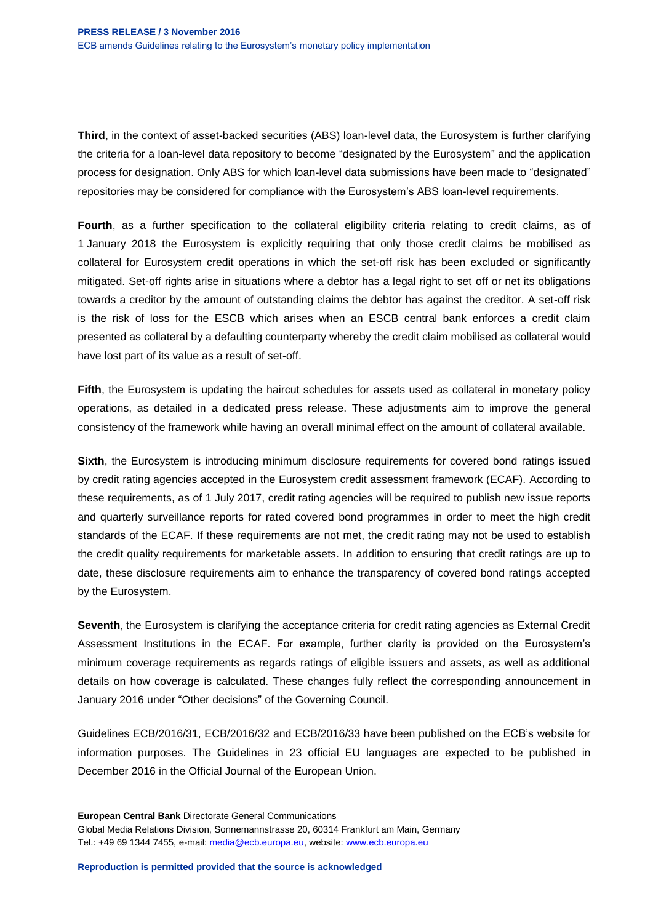**Third**, in the context of asset-backed securities (ABS) loan-level data, the Eurosystem is further clarifying the criteria for a loan-level data repository to become "designated by the Eurosystem" and the application process for designation. Only ABS for which loan-level data submissions have been made to "designated" repositories may be considered for compliance with the Eurosystem's ABS loan-level requirements.

**Fourth**, as a further specification to the collateral eligibility criteria relating to credit claims, as of 1 January 2018 the Eurosystem is explicitly requiring that only those credit claims be mobilised as collateral for Eurosystem credit operations in which the set-off risk has been excluded or significantly mitigated. Set-off rights arise in situations where a debtor has a legal right to set off or net its obligations towards a creditor by the amount of outstanding claims the debtor has against the creditor. A set-off risk is the risk of loss for the ESCB which arises when an ESCB central bank enforces a credit claim presented as collateral by a defaulting counterparty whereby the credit claim mobilised as collateral would have lost part of its value as a result of set-off.

**Fifth**, the Eurosystem is updating the haircut schedules for assets used as collateral in monetary policy operations, as detailed in a dedicated press release. These adjustments aim to improve the general consistency of the framework while having an overall minimal effect on the amount of collateral available.

**Sixth**, the Eurosystem is introducing minimum disclosure requirements for covered bond ratings issued by credit rating agencies accepted in the Eurosystem credit assessment framework (ECAF). According to these requirements, as of 1 July 2017, credit rating agencies will be required to publish new issue reports and quarterly surveillance reports for rated covered bond programmes in order to meet the high credit standards of the ECAF. If these requirements are not met, the credit rating may not be used to establish the credit quality requirements for marketable assets. In addition to ensuring that credit ratings are up to date, these disclosure requirements aim to enhance the transparency of covered bond ratings accepted by the Eurosystem.

**Seventh**, the Eurosystem is clarifying the acceptance criteria for credit rating agencies as External Credit Assessment Institutions in the ECAF. For example, further clarity is provided on the Eurosystem's minimum coverage requirements as regards ratings of eligible issuers and assets, as well as additional details on how coverage is calculated. These changes fully reflect the corresponding announcement in January 2016 under "Other decisions" of the Governing Council.

Guidelines ECB/2016/31, ECB/2016/32 and ECB/2016/33 have been published on the ECB's website for information purposes. The Guidelines in 23 official EU languages are expected to be published in December 2016 in the Official Journal of the European Union.

**European Central Bank** Directorate General Communications Global Media Relations Division, Sonnemannstrasse 20, 60314 Frankfurt am Main, Germany Tel.: +49 69 1344 7455, e-mail: [media@ecb.europa.eu,](mailto:media@ecb.europa.eu) website[: www.ecb.europa.eu](http://www.ecb.europa.eu/)